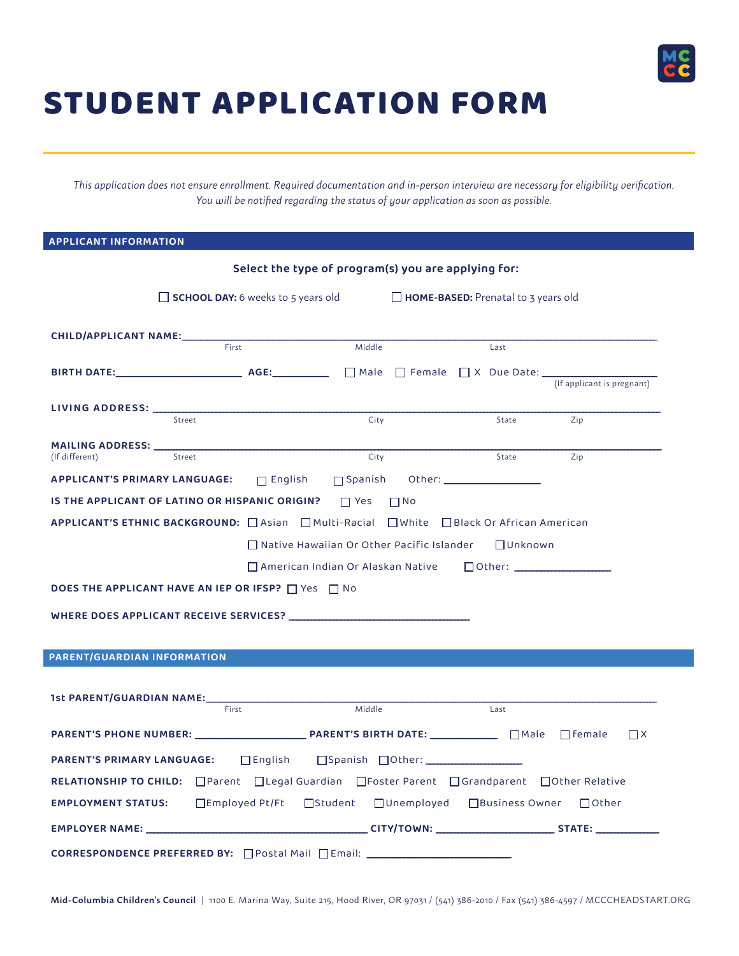

## STUDENT APPLICATION FORM

*This application does not ensure enrollment. Required documentation and in-person interview are necessary for eligibility verification. You will be notified regarding the status of your application as soon as possible.*

**APPLICANT INFORMATION**

| Select the type of program(s) you are applying for:                                                                      |                                                                                  |                                            |                            |  |  |
|--------------------------------------------------------------------------------------------------------------------------|----------------------------------------------------------------------------------|--------------------------------------------|----------------------------|--|--|
| $\Box$ SCHOOL DAY: 6 weeks to 5 years old                                                                                |                                                                                  | <b>HOME-BASED:</b> Prenatal to 3 years old |                            |  |  |
| CHILD/APPLICANT NAME:<br>First                                                                                           | Middle                                                                           | Last                                       |                            |  |  |
|                                                                                                                          |                                                                                  |                                            |                            |  |  |
|                                                                                                                          |                                                                                  |                                            | (If applicant is pregnant) |  |  |
| LIVING ADDRESS: __<br>Street                                                                                             | City                                                                             | State                                      | Zip                        |  |  |
| <b>MAILING ADDRESS:</b>                                                                                                  |                                                                                  |                                            |                            |  |  |
| Street<br>(If different)                                                                                                 | City                                                                             | State                                      | Zip                        |  |  |
| <b>APPLICANT'S PRIMARY LANGUAGE:</b>                                                                                     |                                                                                  |                                            |                            |  |  |
| IS THE APPLICANT OF LATINO OR HISPANIC ORIGIN?                                                                           | $\Box$ Yes<br>$\Box$ No                                                          |                                            |                            |  |  |
| APPLICANT'S ETHNIC BACKGROUND: □ Asian □ Multi-Racial □ White □ Black Or African American                                |                                                                                  |                                            |                            |  |  |
|                                                                                                                          | $\Box$ Native Hawaiian Or Other Pacific Islander                                 | □Unknown                                   |                            |  |  |
|                                                                                                                          | □ American Indian Or Alaskan Native □ Other: ___________________________________ |                                            |                            |  |  |
| <b>DOES THE APPLICANT HAVE AN IEP OR IFSP?</b> $\Box$ Yes $\Box$ No                                                      |                                                                                  |                                            |                            |  |  |
|                                                                                                                          |                                                                                  |                                            |                            |  |  |
|                                                                                                                          |                                                                                  |                                            |                            |  |  |
|                                                                                                                          |                                                                                  |                                            |                            |  |  |
| <b>PARENT/GUARDIAN INFORMATION</b>                                                                                       |                                                                                  |                                            |                            |  |  |
|                                                                                                                          |                                                                                  |                                            |                            |  |  |
| <b>1st PARENT/GUARDIAN NAME:</b><br>First                                                                                | Middle                                                                           | Last                                       |                            |  |  |
|                                                                                                                          |                                                                                  |                                            |                            |  |  |
|                                                                                                                          |                                                                                  |                                            | $\Box$ X                   |  |  |
| <b>PARENT'S PRIMARY LANGUAGE:</b><br>$\Box$ English                                                                      |                                                                                  |                                            |                            |  |  |
| RELATIONSHIP TO CHILD: $\Box$ Parent $\Box$ Legal Guardian $\Box$ Foster Parent $\Box$ Grandparent $\Box$ Other Relative |                                                                                  |                                            |                            |  |  |
|                                                                                                                          |                                                                                  |                                            |                            |  |  |
|                                                                                                                          |                                                                                  |                                            |                            |  |  |
| CORRESPONDENCE PREFERRED BY: □ Postal Mail □ Email: ____________________________                                         |                                                                                  |                                            |                            |  |  |